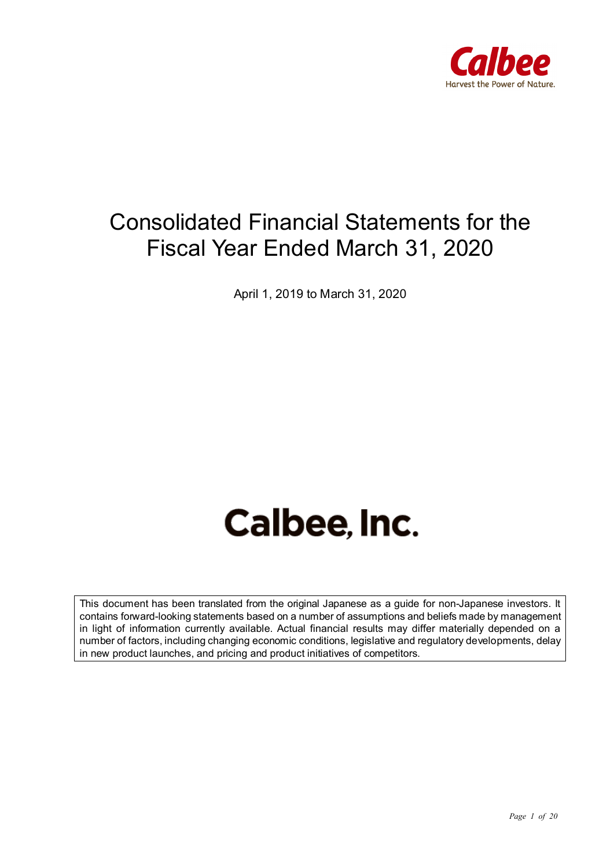

## Consolidated Financial Statements for the Fiscal Year Ended March 31, 2020

April 1, 2019 to March 31, 2020

# Calbee, Inc.

This document has been translated from the original Japanese as a guide for non-Japanese investors. It contains forward-looking statements based on a number of assumptions and beliefs made by management in light of information currently available. Actual financial results may differ materially depended on a number of factors, including changing economic conditions, legislative and regulatory developments, delay in new product launches, and pricing and product initiatives of competitors.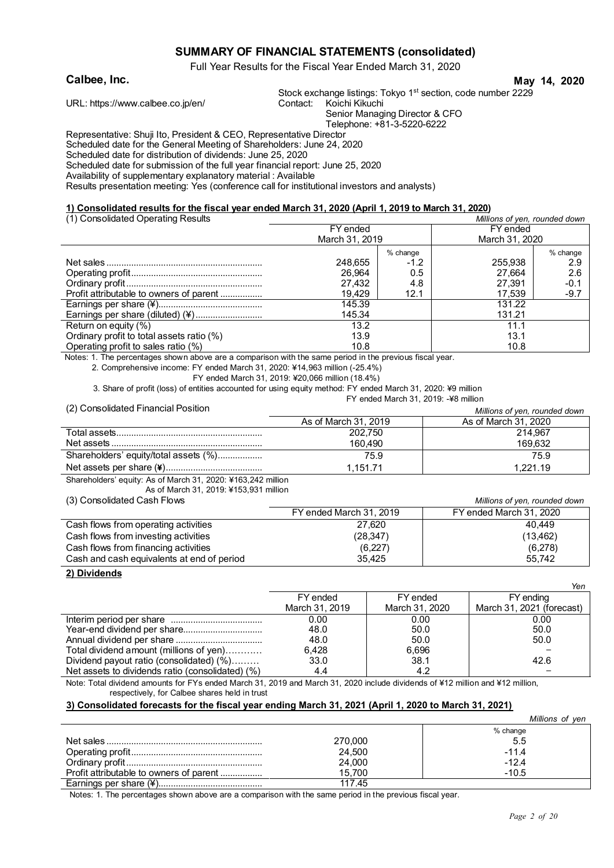#### **SUMMARY OF FINANCIAL STATEMENTS (consolidated)**

Full Year Results for the Fiscal Year Ended March 31, 2020

#### **Calbee, Inc. May 14, 2020**

Stock exchange listings: Tokyo 1<sup>st</sup> section, code number 2229<br>Contact: Koichi Kikuchi

URL: https://www.calbee.co.jp/en/ Contact:

Senior Managing Director & CFO

Telephone: +81-3-5220-6222

Representative: Shuji Ito, President & CEO, Representative Director

Scheduled date for the General Meeting of Shareholders: June 24, 2020

Scheduled date for distribution of dividends: June 25, 2020

Scheduled date for submission of the full year financial report: June 25, 2020

Availability of supplementary explanatory material : Available

Results presentation meeting: Yes (conference call for institutional investors and analysts)

#### **1) Consolidated results for the fiscal year ended March 31, 2020 (April 1, 2019 to March 31, 2020)**

| (1) Consolidated Operating Results        | Millions of yen, rounded down |          |                |          |  |
|-------------------------------------------|-------------------------------|----------|----------------|----------|--|
|                                           | FY ended                      |          | FY ended       |          |  |
|                                           | March 31, 2019                |          | March 31, 2020 |          |  |
|                                           |                               | % change |                | % change |  |
|                                           | 248.655                       | $-1.2$   | 255.938        | 2.9      |  |
|                                           | 26.964                        | 0.5      | 27.664         | 2.6      |  |
|                                           | 27.432                        | 4.8      | 27.391         | $-0.1$   |  |
| Profit attributable to owners of parent   | 19.429                        | 12.1     | 17,539         | -9.7     |  |
|                                           | 145.39                        |          | 131.22         |          |  |
| Earnings per share (diluted) (¥)          | 145.34                        |          | 131.21         |          |  |
| Return on equity (%)                      | 13.2                          |          | 11.1           |          |  |
| Ordinary profit to total assets ratio (%) | 13.9                          |          | 13.1           |          |  |
| Operating profit to sales ratio (%)       | 10.8                          |          | 10.8           |          |  |

Notes: 1. The percentages shown above are a comparison with the same period in the previous fiscal year.

2. Comprehensive income: FY ended March 31, 2020: ¥14,963 million (-25.4%)

FY ended March 31, 2019: ¥20,066 million (18.4%)

3. Share of profit (loss) of entities accounted for using equity method: FY ended March 31, 2020: ¥9 million FY ended March 31, 2019: -¥8 million

(2) Consolidated Financial Position *Millions of yen, rounded down*

| (2) OUISURGRUG FIRENCIAL FOSHOLI      |                      | Millions of ven. rounded down |
|---------------------------------------|----------------------|-------------------------------|
|                                       | As of March 31, 2019 | As of March 31, 2020          |
|                                       | 202.750              | 214.967                       |
|                                       | 160.490              | 169.632                       |
| Shareholders' equity/total assets (%) | 75.9                 | 75.9                          |
|                                       | 1.151.71             | 1.221.19                      |

Shareholders' equity: As of March 31, 2020: ¥163,242 million

As of March 31, 2019: ¥153,931 million

| (3) Consolidated Cash Flows                |                         | Millions of yen, rounded down |
|--------------------------------------------|-------------------------|-------------------------------|
|                                            | FY ended March 31, 2019 | FY ended March 31, 2020       |
| Cash flows from operating activities       | 27.620                  | 40.449                        |
| Cash flows from investing activities       | (28, 347)               | (13, 462)                     |
| Cash flows from financing activities       | (6,227)                 | (6,278)                       |
| Cash and cash equivalents at end of period | 35.425                  | 55.742                        |

#### **2) Dividends**

|                                                  |                |                | ren                       |
|--------------------------------------------------|----------------|----------------|---------------------------|
|                                                  | FY ended       | FY ended       | FY ending                 |
|                                                  | March 31, 2019 | March 31, 2020 | March 31, 2021 (forecast) |
|                                                  | 0.00           | 0.00           | 0.00                      |
| Year-end dividend per share                      | 48.0           | 50.0           | 50.0                      |
|                                                  | 48.0           | 50.0           | 50.0                      |
| Total dividend amount (millions of yen)          | 6.428          | 6.696          |                           |
| Dividend payout ratio (consolidated) (%)         | 33.0           | 38.1           | 42.6                      |
| Net assets to dividends ratio (consolidated) (%) | 4.4            | 4.2            |                           |

Note: Total dividend amounts for FYs ended March 31, 2019 and March 31, 2020 include dividends of ¥12 million and ¥12 million, respectively, for Calbee shares held in trust

#### **3) Consolidated forecasts for the fiscal year ending March 31, 2021 (April 1, 2020 to March 31, 2021)**

|                                         |         | Millions of ven |
|-----------------------------------------|---------|-----------------|
|                                         |         | % change        |
|                                         | 270,000 | 5.5             |
|                                         | 24,500  | $-11.4$         |
|                                         | 24,000  | $-12.4$         |
| Profit attributable to owners of parent | 15.700  | $-10.5$         |
|                                         | 117.45  |                 |

Notes: 1. The percentages shown above are a comparison with the same period in the previous fiscal year.

*Yen*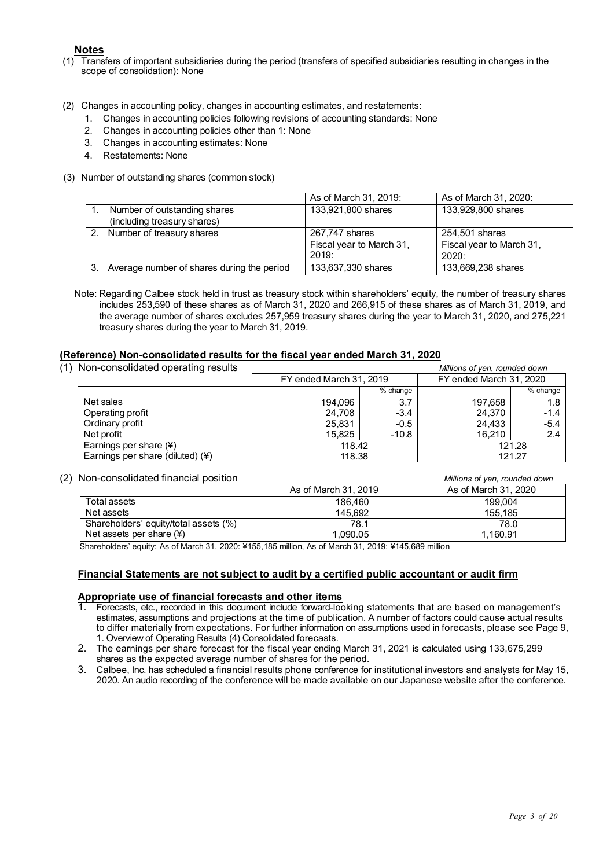#### **Notes**

- (1) Transfers of important subsidiaries during the period (transfers of specified subsidiaries resulting in changes in the scope of consolidation): None
- (2) Changes in accounting policy, changes in accounting estimates, and restatements:
	- 1. Changes in accounting policies following revisions of accounting standards: None
	- 2. Changes in accounting policies other than 1: None
	- 3. Changes in accounting estimates: None
	- 4. Restatements: None
- (3) Number of outstanding shares (common stock)

|                                            | As of March 31, 2019:    | As of March 31, 2020:    |
|--------------------------------------------|--------------------------|--------------------------|
| Number of outstanding shares               | 133,921,800 shares       | 133,929,800 shares       |
| (including treasury shares)                |                          |                          |
| Number of treasury shares                  | 267,747 shares           | 254,501 shares           |
|                                            | Fiscal year to March 31, | Fiscal year to March 31, |
|                                            | 2019:                    | 2020:                    |
| Average number of shares during the period | 133,637,330 shares       | 133,669,238 shares       |

Note: Regarding Calbee stock held in trust as treasury stock within shareholders' equity, the number of treasury shares includes 253,590 of these shares as of March 31, 2020 and 266,915 of these shares as of March 31, 2019, and the average number of shares excludes 257,959 treasury shares during the year to March 31, 2020, and 275,221 treasury shares during the year to March 31, 2019.

#### **(Reference) Non-consolidated results for the fiscal year ended March 31, 2020**

| (1)<br>Non-consolidated operating results |                         |          | Millions of yen, rounded down |          |
|-------------------------------------------|-------------------------|----------|-------------------------------|----------|
|                                           | FY ended March 31, 2019 |          | FY ended March 31, 2020       |          |
|                                           |                         | % change |                               | % change |
| Net sales                                 | 194.096                 | 3.7      | 197.658                       | 1.8      |
| Operating profit                          | 24.708                  | $-3.4$   | 24.370                        | $-1.4$   |
| Ordinary profit                           | 25.831                  | $-0.5$   | 24.433                        | $-5.4$   |
| Net profit                                | 15.825                  | $-10.8$  | 16.210                        | 2.4      |
| Earnings per share $(*)$                  | 118.42                  |          | 121.28                        |          |
| Earnings per share (diluted) (¥)          | 118.38                  |          |                               | 121.27   |

#### (2) Non-consolidated financial position *Millions of yen, rounded down*

|                      | <u><i>IVIIIIOIIS OF YUH, FUUHUUU UUWH</i></u> |
|----------------------|-----------------------------------------------|
| As of March 31, 2019 | As of March 31, 2020                          |
| 186.460              | 199.004                                       |
| 145.692              | 155.185                                       |
| 78.1                 | 78.0                                          |
| 1.090.05             | 1.160.91                                      |
|                      |                                               |

Shareholders' equity: As of March 31, 2020: ¥155,185 million, As of March 31, 2019: ¥145,689 million

#### **Financial Statements are not subject to audit by a certified public accountant or audit firm**

## **Appropriate use of financial forecasts and other items**

- 1. Forecasts, etc., recorded in this document include forward-looking statements that are based on management's estimates, assumptions and projections at the time of publication. A number of factors could cause actual results to differ materially from expectations. For further information on assumptions used in forecasts, please see Page 9, 1. Overview of Operating Results (4) Consolidated forecasts.
- 2. The earnings per share forecast for the fiscal year ending March 31, 2021 is calculated using 133,675,299 shares as the expected average number of shares for the period.
- 3. Calbee, Inc. has scheduled a financial results phone conference for institutional investors and analysts for May 15, 2020. An audio recording of the conference will be made available on our Japanese website after the conference.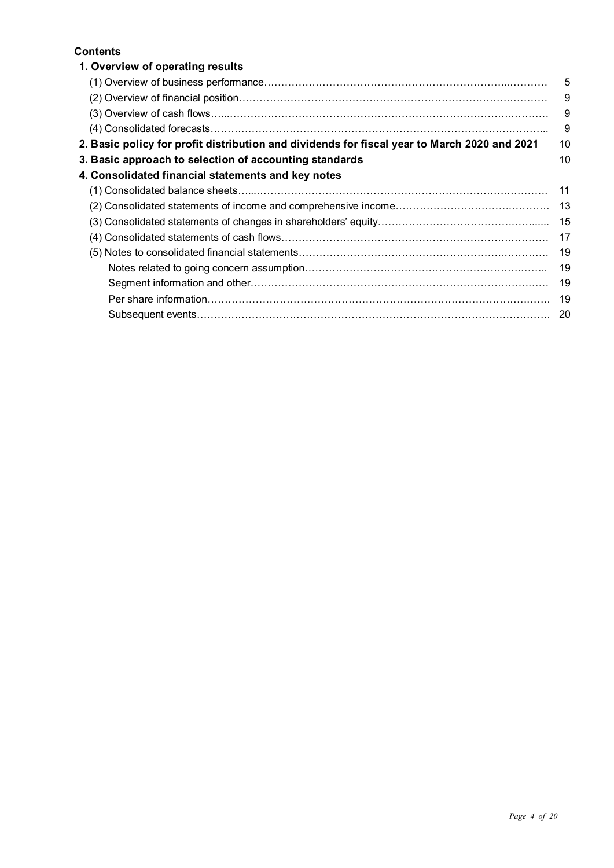#### **Contents**

| 1. Overview of operating results                                                             |     |
|----------------------------------------------------------------------------------------------|-----|
|                                                                                              | 5   |
|                                                                                              | 9   |
|                                                                                              | 9   |
|                                                                                              | 9   |
| 2. Basic policy for profit distribution and dividends for fiscal year to March 2020 and 2021 | 10  |
| 3. Basic approach to selection of accounting standards                                       | 10  |
| 4. Consolidated financial statements and key notes                                           |     |
|                                                                                              | 11  |
|                                                                                              | -13 |
|                                                                                              | 15  |
|                                                                                              | 17  |
|                                                                                              | 19  |
|                                                                                              | 19  |
|                                                                                              | 19  |
|                                                                                              | 19  |
|                                                                                              | -20 |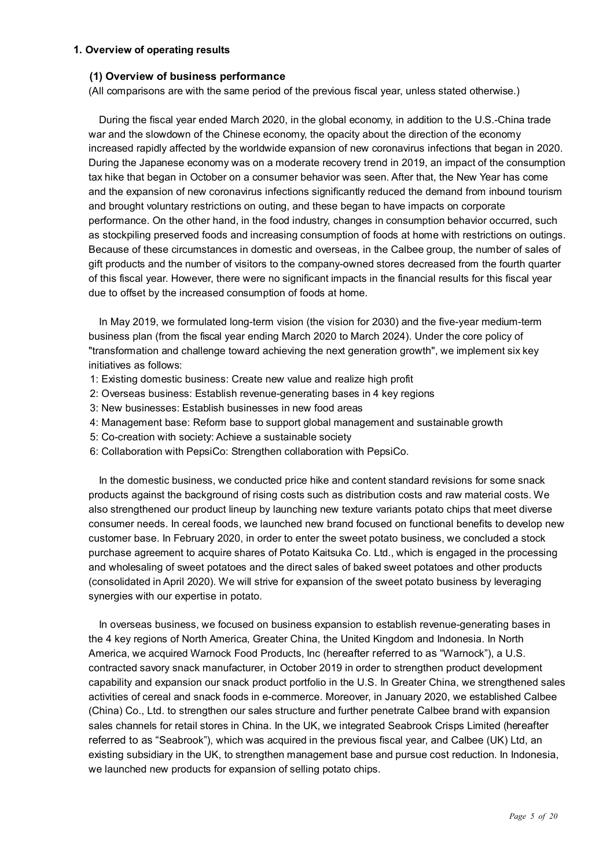#### **1. Overview of operating results**

#### **(1) Overview of business performance**

(All comparisons are with the same period of the previous fiscal year, unless stated otherwise.)

During the fiscal year ended March 2020, in the global economy, in addition to the U.S.-China trade war and the slowdown of the Chinese economy, the opacity about the direction of the economy increased rapidly affected by the worldwide expansion of new coronavirus infections that began in 2020. During the Japanese economy was on a moderate recovery trend in 2019, an impact of the consumption tax hike that began in October on a consumer behavior was seen. After that, the New Year has come and the expansion of new coronavirus infections significantly reduced the demand from inbound tourism and brought voluntary restrictions on outing, and these began to have impacts on corporate performance. On the other hand, in the food industry, changes in consumption behavior occurred, such as stockpiling preserved foods and increasing consumption of foods at home with restrictions on outings. Because of these circumstances in domestic and overseas, in the Calbee group, the number of sales of gift products and the number of visitors to the company-owned stores decreased from the fourth quarter of this fiscal year. However, there were no significant impacts in the financial results for this fiscal year due to offset by the increased consumption of foods at home.

In May 2019, we formulated long-term vision (the vision for 2030) and the five-year medium-term business plan (from the fiscal year ending March 2020 to March 2024). Under the core policy of "transformation and challenge toward achieving the next generation growth", we implement six key initiatives as follows:

- 1: Existing domestic business: Create new value and realize high profit
- 2: Overseas business: Establish revenue-generating bases in 4 key regions
- 3: New businesses: Establish businesses in new food areas
- 4: Management base: Reform base to support global management and sustainable growth
- 5: Co-creation with society: Achieve a sustainable society
- 6: Collaboration with PepsiCo: Strengthen collaboration with PepsiCo.

In the domestic business, we conducted price hike and content standard revisions for some snack products against the background of rising costs such as distribution costs and raw material costs. We also strengthened our product lineup by launching new texture variants potato chips that meet diverse consumer needs. In cereal foods, we launched new brand focused on functional benefits to develop new customer base. In February 2020, in order to enter the sweet potato business, we concluded a stock purchase agreement to acquire shares of Potato Kaitsuka Co. Ltd., which is engaged in the processing and wholesaling of sweet potatoes and the direct sales of baked sweet potatoes and other products (consolidated in April 2020). We will strive for expansion of the sweet potato business by leveraging synergies with our expertise in potato.

In overseas business, we focused on business expansion to establish revenue-generating bases in the 4 key regions of North America, Greater China, the United Kingdom and Indonesia. In North America, we acquired Warnock Food Products, Inc (hereafter referred to as "Warnock"), a U.S. contracted savory snack manufacturer, in October 2019 in order to strengthen product development capability and expansion our snack product portfolio in the U.S. In Greater China, we strengthened sales activities of cereal and snack foods in e-commerce. Moreover, in January 2020, we established Calbee (China) Co., Ltd. to strengthen our sales structure and further penetrate Calbee brand with expansion sales channels for retail stores in China. In the UK, we integrated Seabrook Crisps Limited (hereafter referred to as "Seabrook"), which was acquired in the previous fiscal year, and Calbee (UK) Ltd, an existing subsidiary in the UK, to strengthen management base and pursue cost reduction. In Indonesia, we launched new products for expansion of selling potato chips.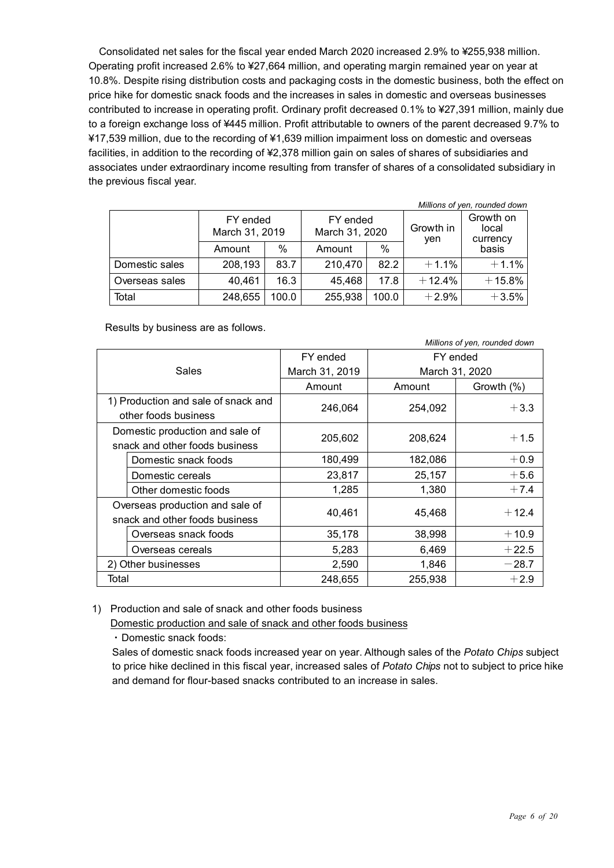Consolidated net sales for the fiscal year ended March 2020 increased 2.9% to ¥255,938 million. Operating profit increased 2.6% to ¥27,664 million, and operating margin remained year on year at 10.8%. Despite rising distribution costs and packaging costs in the domestic business, both the effect on price hike for domestic snack foods and the increases in sales in domestic and overseas businesses contributed to increase in operating profit. Ordinary profit decreased 0.1% to ¥27,391 million, mainly due to a foreign exchange loss of ¥445 million. Profit attributable to owners of the parent decreased 9.7% to ¥17,539 million, due to the recording of ¥1,639 million impairment loss on domestic and overseas facilities, in addition to the recording of ¥2,378 million gain on sales of shares of subsidiaries and associates under extraordinary income resulting from transfer of shares of a consolidated subsidiary in the previous fiscal year.

| Millions of yen, rounded down |                            |       |                            |               |                  |                                |
|-------------------------------|----------------------------|-------|----------------------------|---------------|------------------|--------------------------------|
|                               | FY ended<br>March 31, 2019 |       | FY ended<br>March 31, 2020 |               | Growth in<br>yen | Growth on<br>local<br>currency |
|                               | Amount                     | %     | Amount                     | $\frac{0}{0}$ |                  | basis                          |
| Domestic sales                | 208,193                    | 83.7  | 210,470                    | 82.2          | $+1.1%$          | $+1.1%$                        |
| Overseas sales                | 40,461                     | 16.3  | 45,468                     | 17.8          | $+12.4%$         | $+15.8%$                       |
| Total                         | 248,655                    | 100.0 | 255,938                    | 100.0         | $+2.9%$          | $+3.5%$                        |

Results by business are as follows.

| Millions of yen, rounded down                                     |                |         |                |  |  |
|-------------------------------------------------------------------|----------------|---------|----------------|--|--|
|                                                                   | FY ended       |         | FY ended       |  |  |
| <b>Sales</b>                                                      | March 31, 2019 |         | March 31, 2020 |  |  |
|                                                                   | Amount         | Amount  | Growth (%)     |  |  |
| 1) Production and sale of snack and<br>other foods business       | 246,064        | 254,092 | $+3.3$         |  |  |
| Domestic production and sale of<br>snack and other foods business | 205,602        | 208,624 | $+1.5$         |  |  |
| Domestic snack foods                                              | 180,499        | 182,086 | $+0.9$         |  |  |
| Domestic cereals                                                  | 23,817         | 25,157  | $+5.6$         |  |  |
| Other domestic foods                                              | 1,285          | 1,380   | $+7.4$         |  |  |
| Overseas production and sale of<br>snack and other foods business | 40,461         | 45,468  | $+12.4$        |  |  |
| Overseas snack foods                                              | 35,178         | 38,998  | $+10.9$        |  |  |
| Overseas cereals                                                  | 5,283          | 6,469   | $+22.5$        |  |  |
| 2) Other businesses                                               | 2,590          | 1,846   | $-28.7$        |  |  |
| Total                                                             | 248,655        | 255,938 | $+2.9$         |  |  |

1) Production and sale of snack and other foods business

Domestic production and sale of snack and other foods business

・Domestic snack foods:

Sales of domestic snack foods increased year on year. Although sales of the *Potato Chips* subject to price hike declined in this fiscal year, increased sales of *Potato Chips* not to subject to price hike and demand for flour-based snacks contributed to an increase in sales.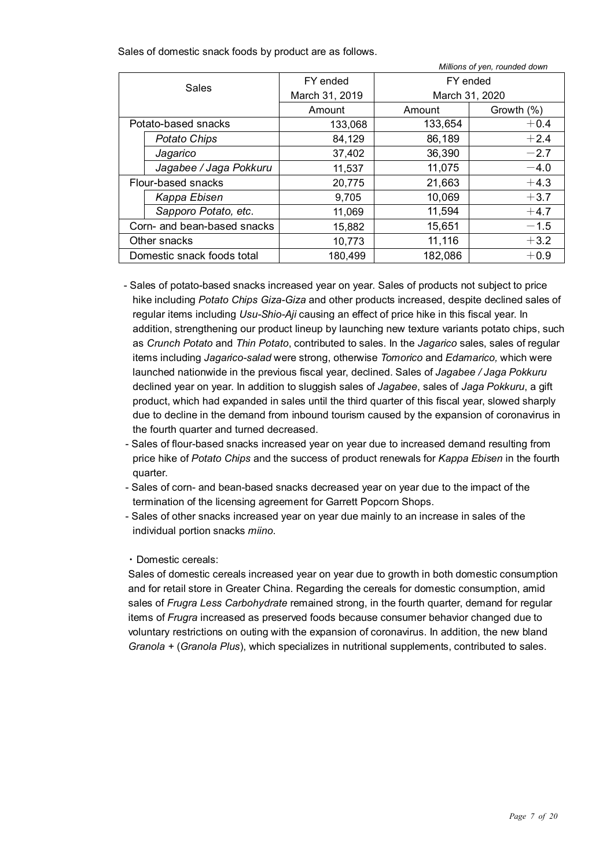Sales of domestic snack foods by product are as follows.

|                             | Millions of yen, rounded down |                |                |            |  |  |  |
|-----------------------------|-------------------------------|----------------|----------------|------------|--|--|--|
|                             |                               | FY ended       |                | FY ended   |  |  |  |
|                             | Sales                         | March 31, 2019 | March 31, 2020 |            |  |  |  |
|                             |                               | Amount         | Amount         | Growth (%) |  |  |  |
|                             | Potato-based snacks           | 133,068        | 133,654        | $+0.4$     |  |  |  |
|                             | <b>Potato Chips</b>           | 84,129         | 86,189         | $+2.4$     |  |  |  |
|                             | Jagarico                      | 37,402         | 36,390         | $-2.7$     |  |  |  |
|                             | Jagabee / Jaga Pokkuru        | 11,537         | 11,075         | $-4.0$     |  |  |  |
|                             | Flour-based snacks            | 20,775         | 21,663         | $+4.3$     |  |  |  |
|                             | Kappa Ebisen                  | 9,705          | 10,069         | $+3.7$     |  |  |  |
|                             | Sapporo Potato, etc.          | 11,069         | 11,594         | $+4.7$     |  |  |  |
| Corn- and bean-based snacks |                               | 15,882         | 15,651         | $-1.5$     |  |  |  |
| Other snacks                |                               | 10,773         | 11,116         | $+3.2$     |  |  |  |
|                             | Domestic snack foods total    | 180,499        | 182,086        | $+0.9$     |  |  |  |

- Sales of potato-based snacks increased year on year. Sales of products not subject to price hike including *Potato Chips Giza-Giza* and other products increased, despite declined sales of regular items including *Usu-Shio-Aji* causing an effect of price hike in this fiscal year. In addition, strengthening our product lineup by launching new texture variants potato chips, such as *Crunch Potato* and *Thin Potato*, contributed to sales. In the *Jagarico* sales, sales of regular items including *Jagarico-salad* were strong, otherwise *Tomorico* and *Edamarico,* which were launched nationwide in the previous fiscal year, declined. Sales of *Jagabee / Jaga Pokkuru* declined year on year. In addition to sluggish sales of *Jagabee*, sales of *Jaga Pokkuru*, a gift product, which had expanded in sales until the third quarter of this fiscal year, slowed sharply due to decline in the demand from inbound tourism caused by the expansion of coronavirus in the fourth quarter and turned decreased.
- Sales of flour-based snacks increased year on year due to increased demand resulting from price hike of *Potato Chips* and the success of product renewals for *Kappa Ebisen* in the fourth quarter.
- Sales of corn- and bean-based snacks decreased year on year due to the impact of the termination of the licensing agreement for Garrett Popcorn Shops.
- Sales of other snacks increased year on year due mainly to an increase in sales of the individual portion snacks *miino*.

・Domestic cereals:

Sales of domestic cereals increased year on year due to growth in both domestic consumption and for retail store in Greater China. Regarding the cereals for domestic consumption, amid sales of *Frugra Less Carbohydrate* remained strong, in the fourth quarter, demand for regular items of *Frugra* increased as preserved foods because consumer behavior changed due to voluntary restrictions on outing with the expansion of coronavirus. In addition, the new bland *Granola +* (*Granola Plus*), which specializes in nutritional supplements, contributed to sales.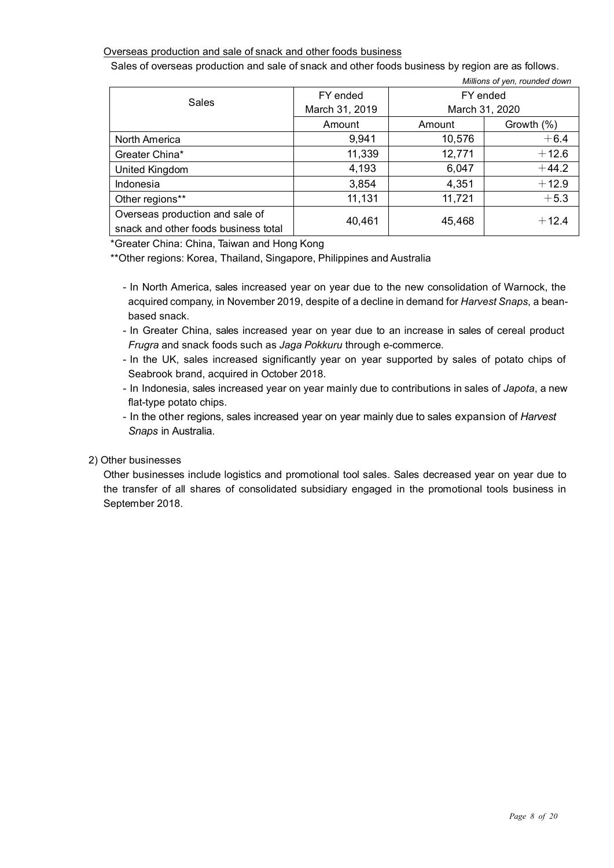#### Overseas production and sale of snack and other foods business

Sales of overseas production and sale of snack and other foods business by region are as follows.

|                                      |                |          | Millions of yen, rounded down |
|--------------------------------------|----------------|----------|-------------------------------|
|                                      | FY ended       | FY ended |                               |
| Sales                                | March 31, 2019 |          | March 31, 2020                |
|                                      | Amount         | Amount   | Growth (%)                    |
| North America                        | 9,941          | 10,576   | $+6.4$                        |
| Greater China*                       | 11,339         | 12,771   | $+12.6$                       |
| United Kingdom                       | 4,193          | 6,047    | $+44.2$                       |
| Indonesia                            | 3,854          | 4,351    | $+12.9$                       |
| Other regions**                      | 11,131         | 11,721   | $+5.3$                        |
| Overseas production and sale of      | 40,461         | 45,468   | $+12.4$                       |
| snack and other foods business total |                |          |                               |

\*Greater China: China, Taiwan and Hong Kong

\*\*Other regions: Korea, Thailand, Singapore, Philippines and Australia

- In North America, sales increased year on year due to the new consolidation of Warnock, the acquired company, in November 2019, despite of a decline in demand for *Harvest Snaps*, a beanbased snack.
- In Greater China, sales increased year on year due to an increase in sales of cereal product *Frugra* and snack foods such as *Jaga Pokkuru* through e-commerce*.*
- In the UK, sales increased significantly year on year supported by sales of potato chips of Seabrook brand, acquired in October 2018.
- In Indonesia, sales increased year on year mainly due to contributions in sales of *Japota*, a new flat-type potato chips.
- In the other regions, sales increased year on year mainly due to sales expansion of *Harvest Snaps* in Australia.

#### 2) Other businesses

Other businesses include logistics and promotional tool sales. Sales decreased year on year due to the transfer of all shares of consolidated subsidiary engaged in the promotional tools business in September 2018.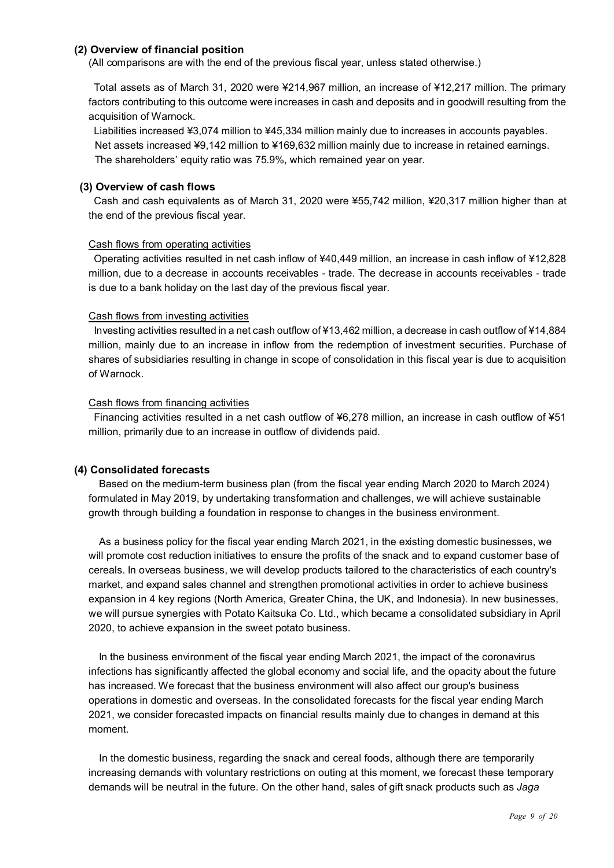#### **(2) Overview of financial position**

(All comparisons are with the end of the previous fiscal year, unless stated otherwise.)

Total assets as of March 31, 2020 were ¥214,967 million, an increase of ¥12,217 million. The primary factors contributing to this outcome were increases in cash and deposits and in goodwill resulting from the acquisition of Warnock.

Liabilities increased ¥3,074 million to ¥45,334 million mainly due to increases in accounts payables. Net assets increased ¥9,142 million to ¥169,632 million mainly due to increase in retained earnings. The shareholders' equity ratio was 75.9%, which remained year on year.

#### **(3) Overview of cash flows**

Cash and cash equivalents as of March 31, 2020 were ¥55,742 million, ¥20,317 million higher than at the end of the previous fiscal year.

#### Cash flows from operating activities

Operating activities resulted in net cash inflow of ¥40,449 million, an increase in cash inflow of ¥12,828 million, due to a decrease in accounts receivables - trade. The decrease in accounts receivables - trade is due to a bank holiday on the last day of the previous fiscal year.

#### Cash flows from investing activities

Investing activities resulted in a net cash outflow of ¥13,462 million, a decrease in cash outflow of ¥14,884 million, mainly due to an increase in inflow from the redemption of investment securities. Purchase of shares of subsidiaries resulting in change in scope of consolidation in this fiscal year is due to acquisition of Warnock.

#### Cash flows from financing activities

Financing activities resulted in a net cash outflow of ¥6,278 million, an increase in cash outflow of ¥51 million, primarily due to an increase in outflow of dividends paid.

#### **(4) Consolidated forecasts**

Based on the medium-term business plan (from the fiscal year ending March 2020 to March 2024) formulated in May 2019, by undertaking transformation and challenges, we will achieve sustainable growth through building a foundation in response to changes in the business environment.

As a business policy for the fiscal year ending March 2021, in the existing domestic businesses, we will promote cost reduction initiatives to ensure the profits of the snack and to expand customer base of cereals. In overseas business, we will develop products tailored to the characteristics of each country's market, and expand sales channel and strengthen promotional activities in order to achieve business expansion in 4 key regions (North America, Greater China, the UK, and Indonesia). In new businesses, we will pursue synergies with Potato Kaitsuka Co. Ltd., which became a consolidated subsidiary in April 2020, to achieve expansion in the sweet potato business.

In the business environment of the fiscal year ending March 2021, the impact of the coronavirus infections has significantly affected the global economy and social life, and the opacity about the future has increased. We forecast that the business environment will also affect our group's business operations in domestic and overseas. In the consolidated forecasts for the fiscal year ending March 2021, we consider forecasted impacts on financial results mainly due to changes in demand at this moment.

In the domestic business, regarding the snack and cereal foods, although there are temporarily increasing demands with voluntary restrictions on outing at this moment, we forecast these temporary demands will be neutral in the future. On the other hand, sales of gift snack products such as *Jaga*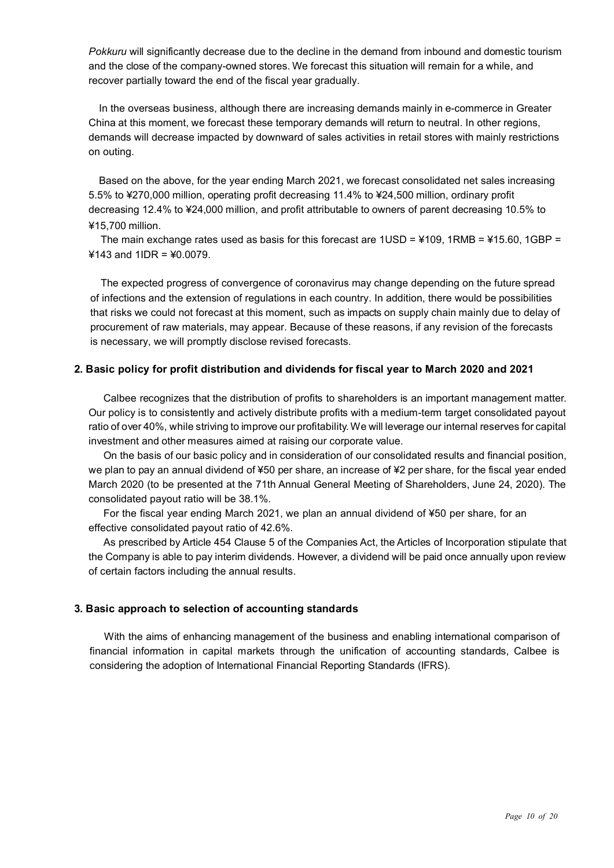*Pokkuru* will significantly decrease due to the decline in the demand from inbound and domestic tourism and the close of the company-owned stores. We forecast this situation will remain for a while, and recover partially toward the end of the fiscal year gradually.

In the overseas business, although there are increasing demands mainly in e-commerce in Greater China at this moment, we forecast these temporary demands will return to neutral. In other regions, demands will decrease impacted by downward of sales activities in retail stores with mainly restrictions on outing.

Based on the above, for the year ending March 2021, we forecast consolidated net sales increasing 5.5% to ¥270,000 million, operating profit decreasing 11.4% to ¥24,500 million, ordinary profit decreasing 12.4% to ¥24,000 million, and profit attributable to owners of parent decreasing 10.5% to ¥15,700 million.

The main exchange rates used as basis for this forecast are  $1USD = 4109$ ,  $1RMB = 415.60$ ,  $1GBP =$ ¥143 and 1IDR = ¥0.0079.

The expected progress of convergence of coronavirus may change depending on the future spread of infections and the extension of regulations in each country. In addition, there would be possibilities that risks we could not forecast at this moment, such as impacts on supply chain mainly due to delay of procurement of raw materials, may appear. Because of these reasons, if any revision of the forecasts is necessary, we will promptly disclose revised forecasts.

#### **2. Basic policy for profit distribution and dividends for fiscal year to March 2020 and 2021**

Calbee recognizes that the distribution of profits to shareholders is an important management matter. Our policy is to consistently and actively distribute profits with a medium-term target consolidated payout ratio of over 40%, while striving to improve our profitability. We will leverage our internal reserves for capital investment and other measures aimed at raising our corporate value.

On the basis of our basic policy and in consideration of our consolidated results and financial position, we plan to pay an annual dividend of ¥50 per share, an increase of ¥2 per share, for the fiscal year ended March 2020 (to be presented at the 71th Annual General Meeting of Shareholders, June 24, 2020). The consolidated payout ratio will be 38.1%.

For the fiscal year ending March 2021, we plan an annual dividend of ¥50 per share, for an effective consolidated payout ratio of 42.6%.

As prescribed by Article 454 Clause 5 of the Companies Act, the Articles of Incorporation stipulate that the Company is able to pay interim dividends. However, a dividend will be paid once annually upon review of certain factors including the annual results.

#### **3. Basic approach to selection of accounting standards**

With the aims of enhancing management of the business and enabling international comparison of financial information in capital markets through the unification of accounting standards, Calbee is considering the adoption of International Financial Reporting Standards (IFRS).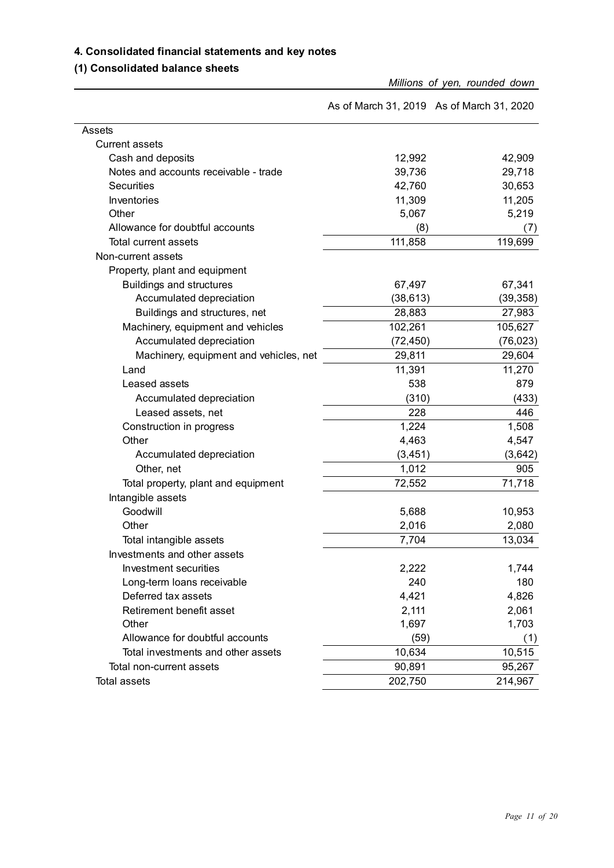#### **4. Consolidated financial statements and key notes**

### **(1) Consolidated balance sheets**

*Millions of yen, rounded down*

|                                        | As of March 31, 2019 As of March 31, 2020 |           |
|----------------------------------------|-------------------------------------------|-----------|
| Assets                                 |                                           |           |
| <b>Current assets</b>                  |                                           |           |
| Cash and deposits                      | 12,992                                    | 42,909    |
| Notes and accounts receivable - trade  | 39,736                                    | 29,718    |
| <b>Securities</b>                      | 42,760                                    | 30,653    |
| Inventories                            | 11,309                                    | 11,205    |
| Other                                  | 5,067                                     | 5,219     |
| Allowance for doubtful accounts        | (8)                                       | (7)       |
| Total current assets                   | 111,858                                   | 119,699   |
| Non-current assets                     |                                           |           |
| Property, plant and equipment          |                                           |           |
| <b>Buildings and structures</b>        | 67,497                                    | 67,341    |
| Accumulated depreciation               | (38, 613)                                 | (39, 358) |
| Buildings and structures, net          | 28,883                                    | 27,983    |
| Machinery, equipment and vehicles      | 102,261                                   | 105,627   |
| Accumulated depreciation               | (72, 450)                                 | (76, 023) |
| Machinery, equipment and vehicles, net | 29,811                                    | 29,604    |
| Land                                   | 11,391                                    | 11,270    |
| Leased assets                          | 538                                       | 879       |
| Accumulated depreciation               | (310)                                     | (433)     |
| Leased assets, net                     | 228                                       | 446       |
| Construction in progress               | 1,224                                     | 1,508     |
| Other                                  | 4,463                                     | 4,547     |
| Accumulated depreciation               | (3, 451)                                  | (3,642)   |
| Other, net                             | 1,012                                     | 905       |
| Total property, plant and equipment    | 72,552                                    | 71,718    |
| Intangible assets                      |                                           |           |
| Goodwill                               | 5,688                                     | 10,953    |
| Other                                  | 2,016                                     | 2,080     |
| Total intangible assets                | 7,704                                     | 13,034    |
| Investments and other assets           |                                           |           |
| Investment securities                  | 2,222                                     | 1,744     |
| Long-term loans receivable             | 240                                       | 180       |
| Deferred tax assets                    | 4,421                                     | 4,826     |
| Retirement benefit asset               | 2,111                                     | 2,061     |
| Other                                  | 1,697                                     | 1,703     |
| Allowance for doubtful accounts        | (59)                                      | (1)       |
| Total investments and other assets     | 10,634                                    | 10,515    |
| Total non-current assets               | 90,891                                    | 95,267    |
| <b>Total assets</b>                    | 202,750                                   | 214,967   |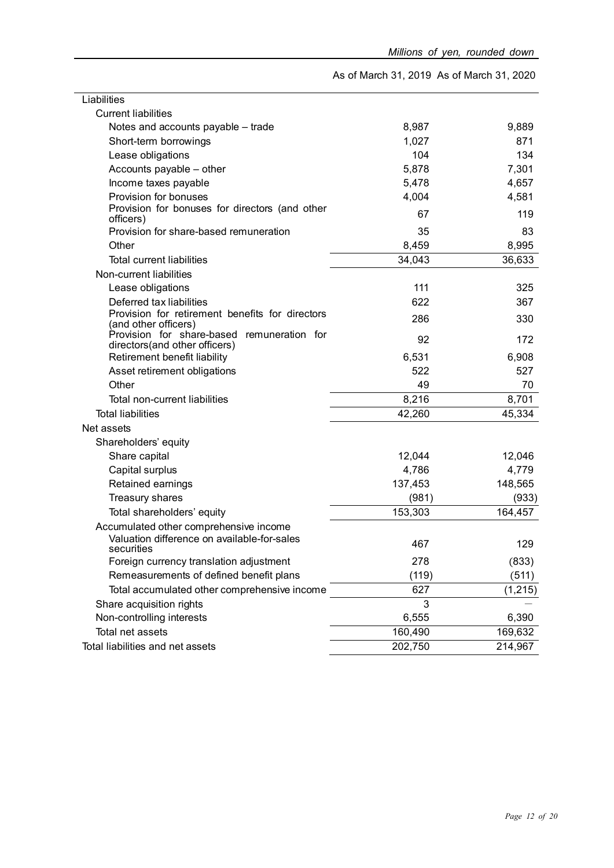As of March 31, 2019 As of March 31, 2020

| Liabilities                                                                 |         |          |
|-----------------------------------------------------------------------------|---------|----------|
| <b>Current liabilities</b>                                                  |         |          |
| Notes and accounts payable - trade                                          | 8,987   | 9,889    |
| Short-term borrowings                                                       | 1,027   | 871      |
| Lease obligations                                                           | 104     | 134      |
| Accounts payable - other                                                    | 5,878   | 7,301    |
| Income taxes payable                                                        | 5,478   | 4,657    |
| Provision for bonuses                                                       | 4,004   | 4,581    |
| Provision for bonuses for directors (and other<br>officers)                 | 67      | 119      |
| Provision for share-based remuneration                                      | 35      | 83       |
| Other                                                                       | 8,459   | 8,995    |
| <b>Total current liabilities</b>                                            | 34,043  | 36,633   |
| Non-current liabilities                                                     |         |          |
| Lease obligations                                                           | 111     | 325      |
| Deferred tax liabilities                                                    | 622     | 367      |
| Provision for retirement benefits for directors<br>(and other officers)     | 286     | 330      |
| Provision for share-based remuneration for<br>directors(and other officers) | 92      | 172      |
| Retirement benefit liability                                                | 6,531   | 6,908    |
| Asset retirement obligations                                                | 522     | 527      |
| Other                                                                       | 49      | 70       |
| Total non-current liabilities                                               | 8,216   | 8,701    |
| <b>Total liabilities</b>                                                    | 42,260  | 45,334   |
| Net assets                                                                  |         |          |
| Shareholders' equity                                                        |         |          |
| Share capital                                                               | 12,044  | 12,046   |
| Capital surplus                                                             | 4,786   | 4,779    |
| Retained earnings                                                           | 137,453 | 148,565  |
| Treasury shares                                                             | (981)   | (933)    |
| Total shareholders' equity                                                  | 153,303 | 164,457  |
| Accumulated other comprehensive income                                      |         |          |
| Valuation difference on available-for-sales<br>securities                   | 467     | 129      |
| Foreign currency translation adjustment                                     | 278     | (833)    |
| Remeasurements of defined benefit plans                                     | (119)   | (511)    |
| Total accumulated other comprehensive income                                | 627     | (1, 215) |
| Share acquisition rights                                                    | 3       |          |
| Non-controlling interests                                                   | 6,555   | 6,390    |
| Total net assets                                                            | 160,490 | 169,632  |
| Total liabilities and net assets                                            | 202,750 | 214,967  |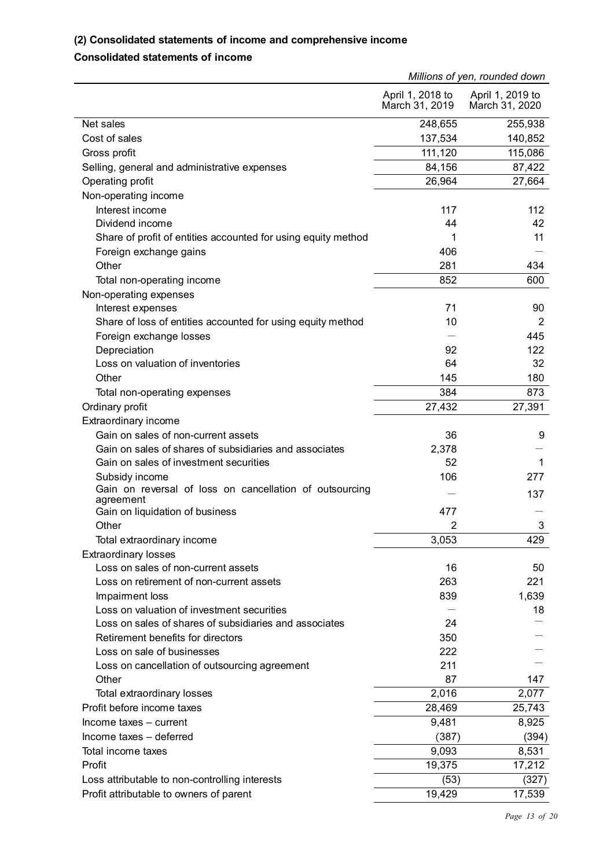#### **(2) Consolidated statements of income and comprehensive income**

#### **Consolidated statements of income**

|                                                                      | Millions of yen, rounded down      |                                    |
|----------------------------------------------------------------------|------------------------------------|------------------------------------|
|                                                                      | April 1, 2018 to<br>March 31, 2019 | April 1, 2019 to<br>March 31, 2020 |
| Net sales                                                            | 248,655                            | 255,938                            |
| Cost of sales                                                        | 137,534                            | 140,852                            |
| Gross profit                                                         | 111,120                            | 115,086                            |
| Selling, general and administrative expenses                         | 84,156                             | 87,422                             |
| Operating profit                                                     | 26,964                             | 27,664                             |
| Non-operating income                                                 |                                    |                                    |
| Interest income                                                      | 117                                | 112                                |
| Dividend income                                                      | 44                                 | 42                                 |
| Share of profit of entities accounted for using equity method        | 1                                  | 11                                 |
| Foreign exchange gains                                               | 406                                |                                    |
| Other                                                                | 281                                | 434                                |
| Total non-operating income                                           | 852                                | 600                                |
| Non-operating expenses                                               |                                    |                                    |
| Interest expenses                                                    | 71                                 | 90                                 |
| Share of loss of entities accounted for using equity method          | 10                                 | 2                                  |
| Foreign exchange losses                                              |                                    | 445                                |
| Depreciation                                                         | 92                                 | 122                                |
| Loss on valuation of inventories                                     | 64                                 | 32                                 |
| Other                                                                | 145                                | 180                                |
| Total non-operating expenses                                         | 384                                | 873                                |
| Ordinary profit                                                      | 27,432                             | 27,391                             |
| Extraordinary income                                                 |                                    |                                    |
| Gain on sales of non-current assets                                  | 36                                 | 9                                  |
| Gain on sales of shares of subsidiaries and associates               | 2,378                              |                                    |
| Gain on sales of investment securities                               | 52                                 | 1                                  |
| Subsidy income                                                       | 106                                | 277                                |
| Gain on reversal of loss on cancellation of outsourcing<br>agreement |                                    | 137                                |
| Gain on liquidation of business                                      | 477                                |                                    |
| Other                                                                | $\overline{2}$                     | 3                                  |
| Total extraordinary income                                           | 3,053                              | 429                                |
| <b>Extraordinary losses</b>                                          |                                    |                                    |
| Loss on sales of non-current assets                                  | 16                                 | 50                                 |
| Loss on retirement of non-current assets                             | 263                                | 221                                |
| Impairment loss                                                      | 839                                | 1,639                              |
| Loss on valuation of investment securities                           |                                    | 18                                 |
| Loss on sales of shares of subsidiaries and associates               | 24                                 |                                    |
| Retirement benefits for directors                                    | 350                                |                                    |
| Loss on sale of businesses                                           | 222                                |                                    |
| Loss on cancellation of outsourcing agreement                        | 211                                |                                    |
| Other                                                                | 87                                 | 147                                |
| Total extraordinary losses                                           | 2,016                              | 2,077                              |
| Profit before income taxes                                           | 28,469                             | 25,743                             |
| Income taxes - current                                               | 9,481                              | 8,925                              |
| Income taxes - deferred                                              | (387)                              | (394)                              |
| Total income taxes                                                   | 9,093                              | 8,531                              |
| Profit                                                               | 19,375                             | 17,212                             |
| Loss attributable to non-controlling interests                       | (53)                               | (327)                              |
| Profit attributable to owners of parent                              | 19,429                             | 17,539                             |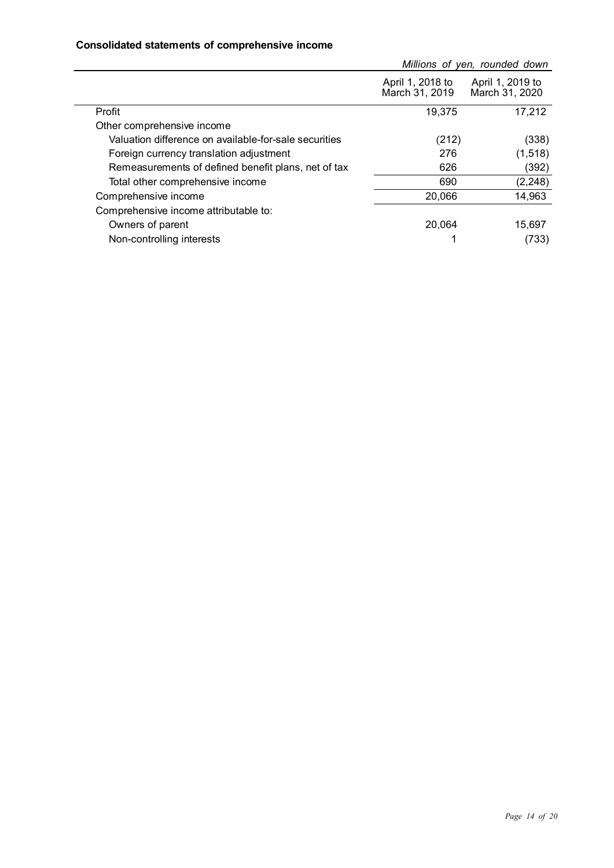#### **Consolidated statements of comprehensive income**

|                                                       | Millions of yen, rounded down      |                                    |  |
|-------------------------------------------------------|------------------------------------|------------------------------------|--|
|                                                       | April 1, 2018 to<br>March 31, 2019 | April 1, 2019 to<br>March 31, 2020 |  |
| Profit                                                | 19,375                             | 17,212                             |  |
| Other comprehensive income                            |                                    |                                    |  |
| Valuation difference on available-for-sale securities | (212)                              | (338)                              |  |
| Foreign currency translation adjustment               | 276                                | (1, 518)                           |  |
| Remeasurements of defined benefit plans, net of tax   | 626                                | (392)                              |  |
| Total other comprehensive income                      | 690                                | (2, 248)                           |  |
| Comprehensive income                                  | 20,066                             | 14,963                             |  |
| Comprehensive income attributable to:                 |                                    |                                    |  |
| Owners of parent                                      | 20.064                             | 15,697                             |  |
| Non-controlling interests                             |                                    | (733)                              |  |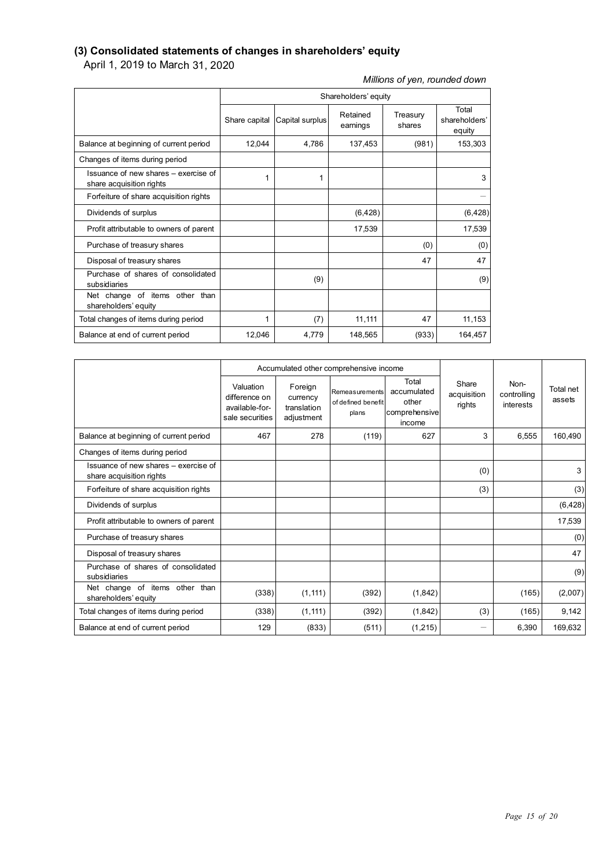#### **(3) Consolidated statements of changes in shareholders' equity**

April 1, 2019 to March 31, 2020

#### *Millions of yen, rounded down*

|                                                                  | Shareholders' equity |                 |                      |                    |                                  |
|------------------------------------------------------------------|----------------------|-----------------|----------------------|--------------------|----------------------------------|
|                                                                  | Share capital        | Capital surplus | Retained<br>earnings | Treasury<br>shares | Total<br>shareholders'<br>equity |
| Balance at beginning of current period                           | 12,044               | 4,786           | 137,453              | (981)              | 153,303                          |
| Changes of items during period                                   |                      |                 |                      |                    |                                  |
| Issuance of new shares – exercise of<br>share acquisition rights |                      | 1               |                      |                    | 3                                |
| Forfeiture of share acquisition rights                           |                      |                 |                      |                    |                                  |
| Dividends of surplus                                             |                      |                 | (6, 428)             |                    | (6, 428)                         |
| Profit attributable to owners of parent                          |                      |                 | 17,539               |                    | 17,539                           |
| Purchase of treasury shares                                      |                      |                 |                      | (0)                | (0)                              |
| Disposal of treasury shares                                      |                      |                 |                      | 47                 | 47                               |
| Purchase of shares of consolidated<br>subsidiaries               |                      | (9)             |                      |                    | (9)                              |
| Net change of items other than<br>shareholders' equity           |                      |                 |                      |                    |                                  |
| Total changes of items during period                             | 1                    | (7)             | 11,111               | 47                 | 11,153                           |
| Balance at end of current period                                 | 12,046               | 4,779           | 148,565              | (933)              | 164,457                          |

|                                                                  |                                                                 |                                                  | Accumulated other comprehensive income        |                                                          |                                |                                  |                     |
|------------------------------------------------------------------|-----------------------------------------------------------------|--------------------------------------------------|-----------------------------------------------|----------------------------------------------------------|--------------------------------|----------------------------------|---------------------|
|                                                                  | Valuation<br>difference on<br>available-for-<br>sale securities | Foreign<br>currency<br>translation<br>adjustment | Remeasurements<br>of defined benefit<br>plans | Total<br>accumulated<br>other<br>comprehensive<br>income | Share<br>acquisition<br>rights | Non-<br>controlling<br>interests | Total net<br>assets |
| Balance at beginning of current period                           | 467                                                             | 278                                              | (119)                                         | 627                                                      | 3                              | 6.555                            | 160,490             |
| Changes of items during period                                   |                                                                 |                                                  |                                               |                                                          |                                |                                  |                     |
| Issuance of new shares – exercise of<br>share acquisition rights |                                                                 |                                                  |                                               |                                                          | (0)                            |                                  | 3                   |
| Forfeiture of share acquisition rights                           |                                                                 |                                                  |                                               |                                                          | (3)                            |                                  | (3)                 |
| Dividends of surplus                                             |                                                                 |                                                  |                                               |                                                          |                                |                                  | (6, 428)            |
| Profit attributable to owners of parent                          |                                                                 |                                                  |                                               |                                                          |                                |                                  | 17,539              |
| Purchase of treasury shares                                      |                                                                 |                                                  |                                               |                                                          |                                |                                  | (0)                 |
| Disposal of treasury shares                                      |                                                                 |                                                  |                                               |                                                          |                                |                                  | 47                  |
| Purchase of shares of consolidated<br>subsidiaries               |                                                                 |                                                  |                                               |                                                          |                                |                                  | (9)                 |
| Net change of items other than<br>shareholders' equity           | (338)                                                           | (1, 111)                                         | (392)                                         | (1,842)                                                  |                                | (165)                            | (2,007)             |
| Total changes of items during period                             | (338)                                                           | (1, 111)                                         | (392)                                         | (1,842)                                                  | (3)                            | (165)                            | 9,142               |
| Balance at end of current period                                 | 129                                                             | (833)                                            | (511)                                         | (1,215)                                                  |                                | 6.390                            | 169,632             |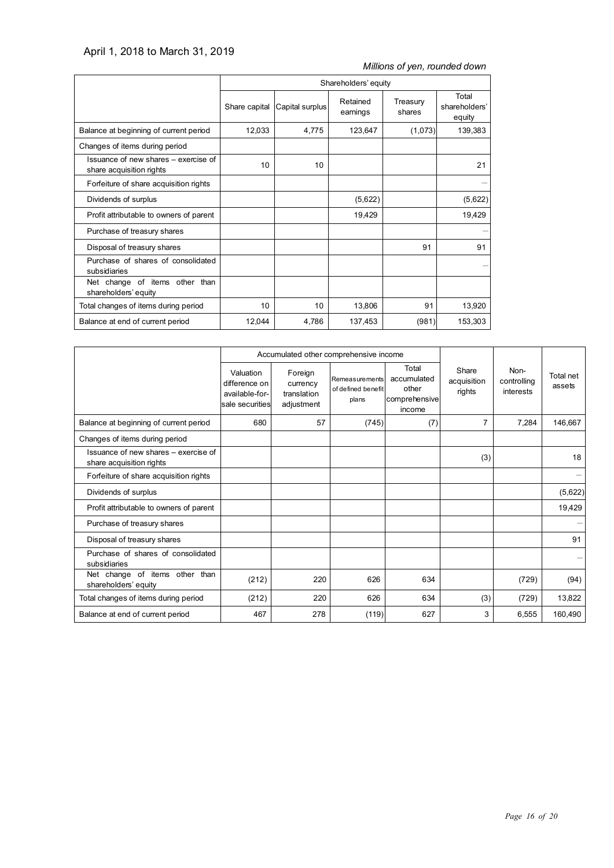#### April 1, 2018 to March 31, 2019

#### *Millions of yen, rounded down*

|                                                                  | Shareholders' equity |                               |                      |                    |                                  |
|------------------------------------------------------------------|----------------------|-------------------------------|----------------------|--------------------|----------------------------------|
|                                                                  |                      | Share capital Capital surplus | Retained<br>earnings | Treasury<br>shares | Total<br>shareholders'<br>equity |
| Balance at beginning of current period                           | 12,033               | 4,775                         | 123,647              | (1,073)            | 139,383                          |
| Changes of items during period                                   |                      |                               |                      |                    |                                  |
| Issuance of new shares - exercise of<br>share acquisition rights | 10                   | 10                            |                      |                    | 21                               |
| Forfeiture of share acquisition rights                           |                      |                               |                      |                    |                                  |
| Dividends of surplus                                             |                      |                               | (5,622)              |                    | (5,622)                          |
| Profit attributable to owners of parent                          |                      |                               | 19,429               |                    | 19,429                           |
| Purchase of treasury shares                                      |                      |                               |                      |                    |                                  |
| Disposal of treasury shares                                      |                      |                               |                      | 91                 | 91                               |
| Purchase of shares of consolidated<br>subsidiaries               |                      |                               |                      |                    |                                  |
| Net change of items other than<br>shareholders' equity           |                      |                               |                      |                    |                                  |
| Total changes of items during period                             | 10                   | 10                            | 13,806               | 91                 | 13,920                           |
| Balance at end of current period                                 | 12,044               | 4,786                         | 137,453              | (981)              | 153,303                          |

|                                                                  |                                                                 | Accumulated other comprehensive income           |                                               |                                                          |                                |                                  |                     |
|------------------------------------------------------------------|-----------------------------------------------------------------|--------------------------------------------------|-----------------------------------------------|----------------------------------------------------------|--------------------------------|----------------------------------|---------------------|
|                                                                  | Valuation<br>difference on<br>available-for-<br>sale securities | Foreign<br>currency<br>translation<br>adjustment | Remeasurements<br>of defined benefit<br>plans | Total<br>accumulated<br>other<br>comprehensive<br>income | Share<br>acquisition<br>rights | Non-<br>controlling<br>interests | Total net<br>assets |
| Balance at beginning of current period                           | 680                                                             | 57                                               | (745)                                         | (7)                                                      | 7                              | 7,284                            | 146,667             |
| Changes of items during period                                   |                                                                 |                                                  |                                               |                                                          |                                |                                  |                     |
| Issuance of new shares – exercise of<br>share acquisition rights |                                                                 |                                                  |                                               |                                                          | (3)                            |                                  | 18                  |
| Forfeiture of share acquisition rights                           |                                                                 |                                                  |                                               |                                                          |                                |                                  |                     |
| Dividends of surplus                                             |                                                                 |                                                  |                                               |                                                          |                                |                                  | (5,622)             |
| Profit attributable to owners of parent                          |                                                                 |                                                  |                                               |                                                          |                                |                                  | 19,429              |
| Purchase of treasury shares                                      |                                                                 |                                                  |                                               |                                                          |                                |                                  |                     |
| Disposal of treasury shares                                      |                                                                 |                                                  |                                               |                                                          |                                |                                  | 91                  |
| Purchase of shares of consolidated<br>subsidiaries               |                                                                 |                                                  |                                               |                                                          |                                |                                  |                     |
| Net change of items other than<br>shareholders' equity           | (212)                                                           | 220                                              | 626                                           | 634                                                      |                                | (729)                            | (94)                |
| Total changes of items during period                             | (212)                                                           | 220                                              | 626                                           | 634                                                      | (3)                            | (729)                            | 13,822              |
| Balance at end of current period                                 | 467                                                             | 278                                              | (119)                                         | 627                                                      | 3                              | 6,555                            | 160,490             |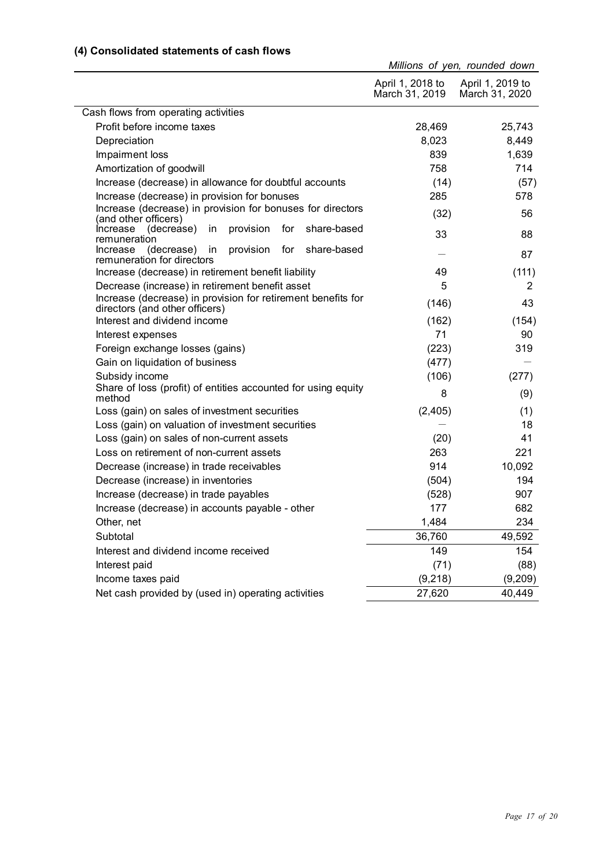#### **(4) Consolidated statements of cash flows**

|                                                                                                |                                    | Millions of yen, rounded down      |
|------------------------------------------------------------------------------------------------|------------------------------------|------------------------------------|
|                                                                                                | April 1, 2018 to<br>March 31, 2019 | April 1, 2019 to<br>March 31, 2020 |
| Cash flows from operating activities                                                           |                                    |                                    |
| Profit before income taxes                                                                     | 28,469                             | 25,743                             |
| Depreciation                                                                                   | 8,023                              | 8,449                              |
| Impairment loss                                                                                | 839                                | 1,639                              |
| Amortization of goodwill                                                                       | 758                                | 714                                |
| Increase (decrease) in allowance for doubtful accounts                                         | (14)                               | (57)                               |
| Increase (decrease) in provision for bonuses                                                   | 285                                | 578                                |
| Increase (decrease) in provision for bonuses for directors<br>(and other officers)             | (32)                               | 56                                 |
| provision<br>for<br>share-based<br>(decrease)<br>in<br>Increase<br>remuneration                | 33                                 | 88                                 |
| provision for<br>share-based<br>(decrease)<br>in<br>Increase<br>remuneration for directors     |                                    | 87                                 |
| Increase (decrease) in retirement benefit liability                                            | 49                                 | (111)                              |
| Decrease (increase) in retirement benefit asset                                                | 5                                  | 2                                  |
| Increase (decrease) in provision for retirement benefits for<br>directors (and other officers) | (146)                              | 43                                 |
| Interest and dividend income                                                                   | (162)                              | (154)                              |
| Interest expenses                                                                              | 71                                 | 90                                 |
| Foreign exchange losses (gains)                                                                | (223)                              | 319                                |
| Gain on liquidation of business                                                                | (477)                              |                                    |
| Subsidy income                                                                                 | (106)                              | (277)                              |
| Share of loss (profit) of entities accounted for using equity<br>method                        | 8                                  | (9)                                |
| Loss (gain) on sales of investment securities                                                  | (2, 405)                           | (1)                                |
| Loss (gain) on valuation of investment securities                                              |                                    | 18                                 |
| Loss (gain) on sales of non-current assets                                                     | (20)                               | 41                                 |
| Loss on retirement of non-current assets                                                       | 263                                | 221                                |
| Decrease (increase) in trade receivables                                                       | 914                                | 10,092                             |
| Decrease (increase) in inventories                                                             | (504)                              | 194                                |
| Increase (decrease) in trade payables                                                          | (528)                              | 907                                |
| Increase (decrease) in accounts payable - other                                                | 177                                | 682                                |
| Other, net                                                                                     | 1,484                              | 234                                |
| Subtotal                                                                                       | 36,760                             | 49,592                             |
| Interest and dividend income received                                                          | 149                                | 154                                |
| Interest paid                                                                                  | (71)                               | (88)                               |
| Income taxes paid                                                                              | (9, 218)                           | (9,209)                            |
| Net cash provided by (used in) operating activities                                            | 27,620                             | 40,449                             |
|                                                                                                |                                    |                                    |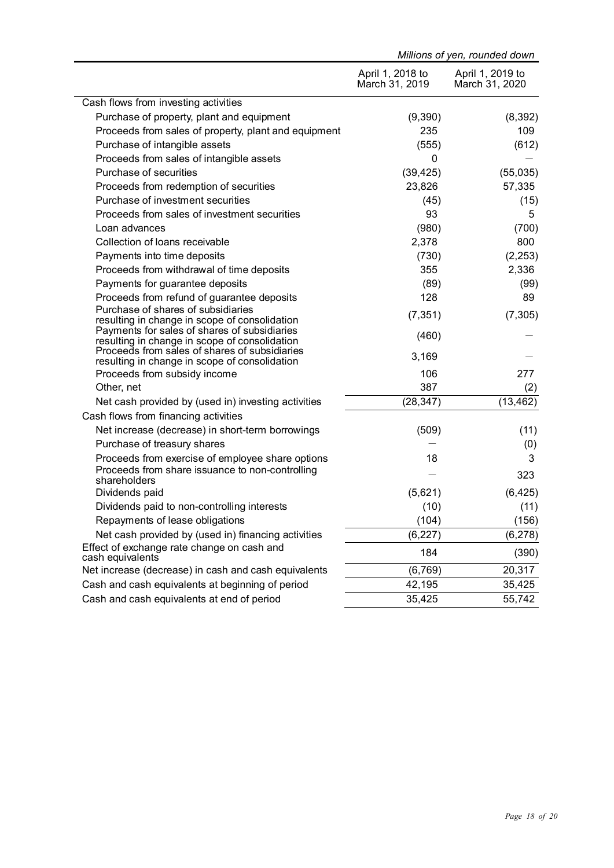|                                                                                                | Millions of yen, rounded down      |                                    |  |
|------------------------------------------------------------------------------------------------|------------------------------------|------------------------------------|--|
|                                                                                                | April 1, 2018 to<br>March 31, 2019 | April 1, 2019 to<br>March 31, 2020 |  |
| Cash flows from investing activities                                                           |                                    |                                    |  |
| Purchase of property, plant and equipment                                                      | (9,390)                            | (8,392)                            |  |
| Proceeds from sales of property, plant and equipment                                           | 235                                | 109                                |  |
| Purchase of intangible assets                                                                  | (555)                              | (612)                              |  |
| Proceeds from sales of intangible assets                                                       | 0                                  |                                    |  |
| Purchase of securities                                                                         | (39, 425)                          | (55,035)                           |  |
| Proceeds from redemption of securities                                                         | 23,826                             | 57,335                             |  |
| Purchase of investment securities                                                              | (45)                               | (15)                               |  |
| Proceeds from sales of investment securities                                                   | 93                                 | 5                                  |  |
| Loan advances                                                                                  | (980)                              | (700)                              |  |
| Collection of loans receivable                                                                 | 2,378                              | 800                                |  |
| Payments into time deposits                                                                    | (730)                              | (2, 253)                           |  |
| Proceeds from withdrawal of time deposits                                                      | 355                                | 2,336                              |  |
| Payments for guarantee deposits                                                                | (89)                               | (99)                               |  |
| Proceeds from refund of guarantee deposits                                                     | 128                                | 89                                 |  |
| Purchase of shares of subsidiaries<br>resulting in change in scope of consolidation            | (7, 351)                           | (7, 305)                           |  |
| Payments for sales of shares of subsidiaries<br>resulting in change in scope of consolidation  | (460)                              |                                    |  |
| Proceeds from sales of shares of subsidiaries<br>resulting in change in scope of consolidation | 3,169                              |                                    |  |
| Proceeds from subsidy income                                                                   | 106                                | 277                                |  |
| Other, net                                                                                     | 387                                | (2)                                |  |
| Net cash provided by (used in) investing activities                                            | (28, 347)                          | (13, 462)                          |  |
| Cash flows from financing activities                                                           |                                    |                                    |  |
| Net increase (decrease) in short-term borrowings                                               | (509)                              | (11)                               |  |
| Purchase of treasury shares                                                                    |                                    | (0)                                |  |
| Proceeds from exercise of employee share options                                               | 18                                 | 3                                  |  |
| Proceeds from share issuance to non-controlling<br>shareholders                                |                                    | 323                                |  |
| Dividends paid                                                                                 | (5,621)                            | (6, 425)                           |  |
| Dividends paid to non-controlling interests                                                    | (10)                               | (11)                               |  |
| Repayments of lease obligations                                                                | (104)                              | (156)                              |  |
| Net cash provided by (used in) financing activities                                            | (6, 227)                           | (6, 278)                           |  |
| Effect of exchange rate change on cash and<br>cash equivalents                                 | 184                                | (390)                              |  |
| Net increase (decrease) in cash and cash equivalents                                           | (6, 769)                           | 20,317                             |  |
| Cash and cash equivalents at beginning of period                                               | 42,195                             | 35,425                             |  |
| Cash and cash equivalents at end of period                                                     | 35,425                             | 55,742                             |  |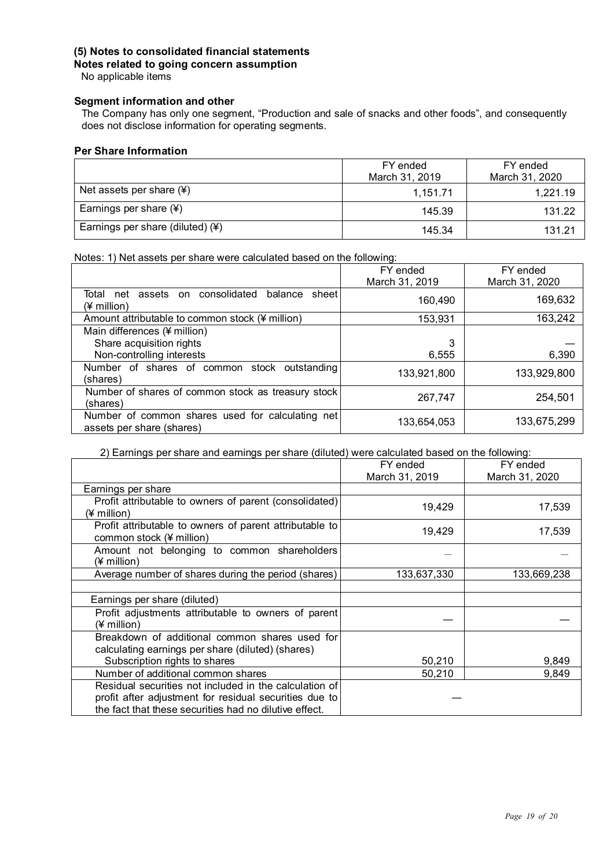#### **(5) Notes to consolidated financial statements**

**Notes related to going concern assumption**

No applicable items

#### **Segment information and other**

The Company has only one segment, "Production and sale of snacks and other foods", and consequently does not disclose information for operating segments.

#### **Per Share Information**

|                                    | FY ended       | FY ended       |  |
|------------------------------------|----------------|----------------|--|
|                                    | March 31, 2019 | March 31, 2020 |  |
| Net assets per share $(*)$         | 1.151.71       | 1.221.19       |  |
| Earnings per share $(*)$           | 145.39         | 131.22         |  |
| Earnings per share (diluted) $(*)$ | 145.34         | 131.21         |  |

Notes: 1) Net assets per share were calculated based on the following:

|                                                                                 | FY ended       | FY ended       |
|---------------------------------------------------------------------------------|----------------|----------------|
|                                                                                 | March 31, 2019 | March 31, 2020 |
| consolidated<br>Total<br>assets<br>balance<br>sheet<br>net<br>on<br>(¥ million) | 160,490        | 169,632        |
| Amount attributable to common stock (¥ million)                                 | 153,931        | 163,242        |
| Main differences (¥ million)                                                    |                |                |
| Share acquisition rights                                                        | 3              |                |
| Non-controlling interests                                                       | 6,555          | 6,390          |
| Number of shares of common stock outstanding<br>(shares)                        | 133,921,800    | 133,929,800    |
| Number of shares of common stock as treasury stock<br>(shares)                  | 267,747        | 254,501        |
| Number of common shares used for calculating net<br>assets per share (shares)   | 133,654,053    | 133,675,299    |

#### 2) Earnings per share and earnings per share (diluted) were calculated based on the following:

|                                                                                     | FY ended       | FY ended       |
|-------------------------------------------------------------------------------------|----------------|----------------|
|                                                                                     | March 31, 2019 | March 31, 2020 |
| Earnings per share                                                                  |                |                |
| Profit attributable to owners of parent (consolidated)<br>(¥ million)               | 19,429         | 17,539         |
| Profit attributable to owners of parent attributable to<br>common stock (¥ million) | 19,429         | 17,539         |
| Amount not belonging to common shareholders<br>(¥ million)                          |                |                |
| Average number of shares during the period (shares)                                 | 133,637,330    | 133,669,238    |
|                                                                                     |                |                |
| Earnings per share (diluted)                                                        |                |                |
| Profit adjustments attributable to owners of parent<br>(¥ million)                  |                |                |
| Breakdown of additional common shares used for                                      |                |                |
| calculating earnings per share (diluted) (shares)                                   |                |                |
| Subscription rights to shares                                                       | 50,210         | 9,849          |
| Number of additional common shares                                                  | 50,210         | 9,849          |
| Residual securities not included in the calculation of                              |                |                |
| profit after adjustment for residual securities due to                              |                |                |
| the fact that these securities had no dilutive effect.                              |                |                |